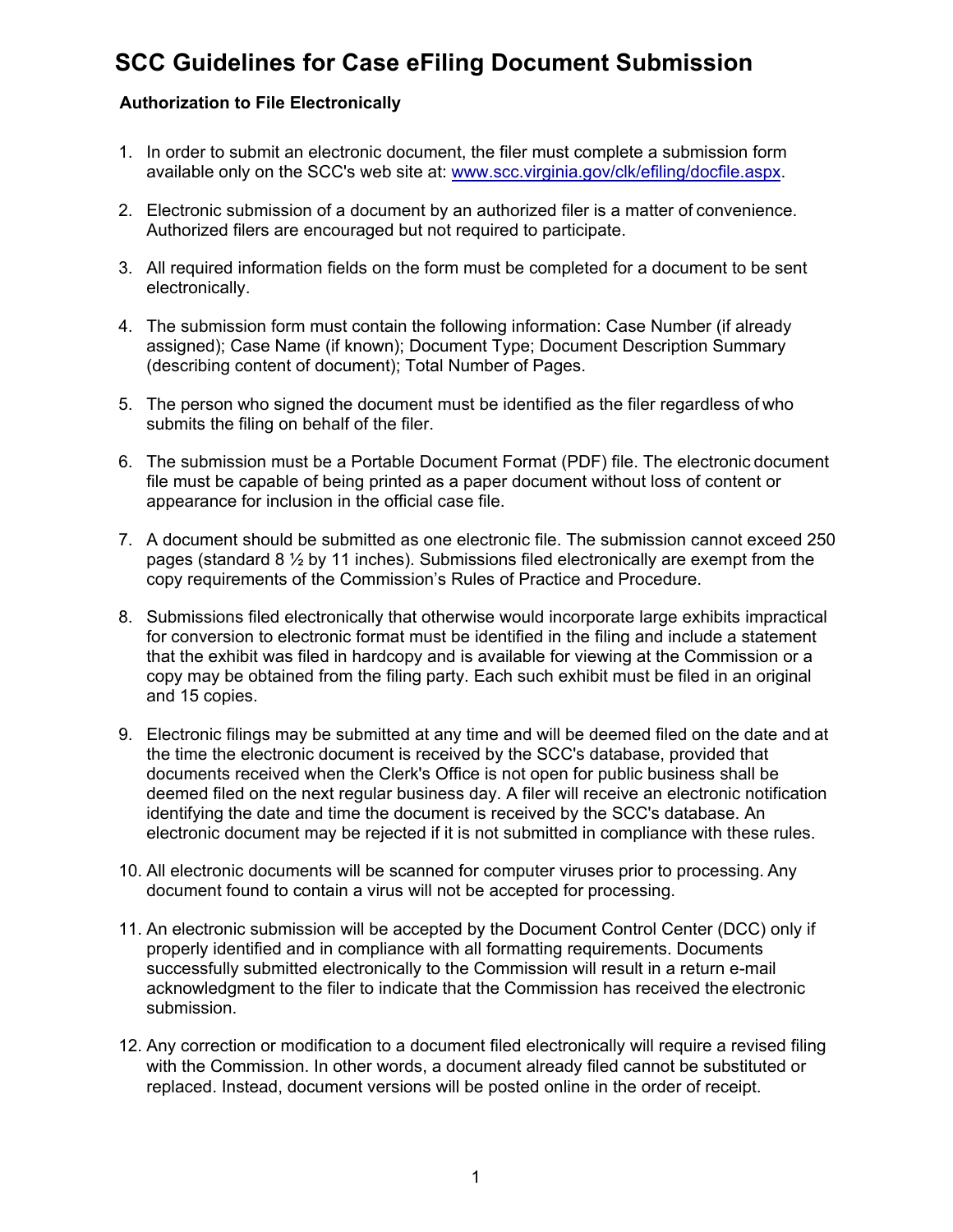## **SCC Guidelines for Case eFiling Document Submission**

## **Authorization to File Electronically**

- 1. In order to submit an electronic document, the filer must complete a submission form available only on the SCC's web site at: www.scc.virginia.gov/clk/efiling/docfile.aspx.
- 2. Electronic submission of a document by an authorized filer is a matter of convenience. Authorized filers are encouraged but not required to participate.
- 3. All required information fields on the form must be completed for a document to be sent electronically.
- 4. The submission form must contain the following information: Case Number (if already assigned); Case Name (if known); Document Type; Document Description Summary (describing content of document); Total Number of Pages.
- 5. The person who signed the document must be identified as the filer regardless of who submits the filing on behalf of the filer.
- 6. The submission must be a Portable Document Format (PDF) file. The electronic document file must be capable of being printed as a paper document without loss of content or appearance for inclusion in the official case file.
- 7. A document should be submitted as one electronic file. The submission cannot exceed 250 pages (standard  $8\frac{1}{2}$  by 11 inches). Submissions filed electronically are exempt from the copy requirements of the Commission's Rules of Practice and Procedure.
- 8. Submissions filed electronically that otherwise would incorporate large exhibits impractical for conversion to electronic format must be identified in the filing and include a statement that the exhibit was filed in hardcopy and is available for viewing at the Commission or a copy may be obtained from the filing party. Each such exhibit must be filed in an original and 15 copies.
- 9. Electronic filings may be submitted at any time and will be deemed filed on the date and at the time the electronic document is received by the SCC's database, provided that documents received when the Clerk's Office is not open for public business shall be deemed filed on the next regular business day. A filer will receive an electronic notification identifying the date and time the document is received by the SCC's database. An electronic document may be rejected if it is not submitted in compliance with these rules.
- 10. All electronic documents will be scanned for computer viruses prior to processing. Any document found to contain a virus will not be accepted for processing.
- 11. An electronic submission will be accepted by the Document Control Center (DCC) only if properly identified and in compliance with all formatting requirements. Documents successfully submitted electronically to the Commission will result in a return e-mail acknowledgment to the filer to indicate that the Commission has received the electronic submission.
- 12. Any correction or modification to a document filed electronically will require a revised filing with the Commission. In other words, a document already filed cannot be substituted or replaced. Instead, document versions will be posted online in the order of receipt.